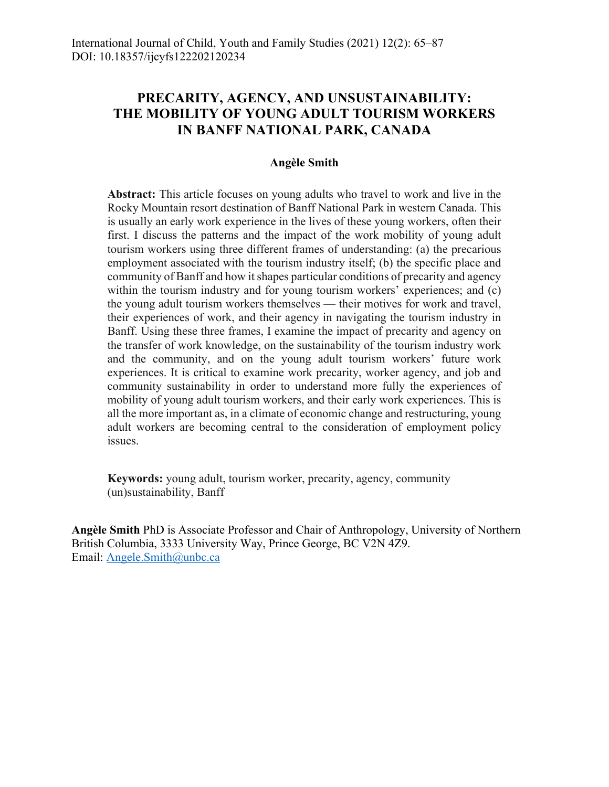# **PRECARITY, AGENCY, AND UNSUSTAINABILITY: THE MOBILITY OF YOUNG ADULT TOURISM WORKERS IN BANFF NATIONAL PARK, CANADA**

#### **Angèle Smith**

**Abstract:** This article focuses on young adults who travel to work and live in the Rocky Mountain resort destination of Banff National Park in western Canada. This is usually an early work experience in the lives of these young workers, often their first. I discuss the patterns and the impact of the work mobility of young adult tourism workers using three different frames of understanding: (a) the precarious employment associated with the tourism industry itself; (b) the specific place and community of Banff and how it shapes particular conditions of precarity and agency within the tourism industry and for young tourism workers' experiences; and (c) the young adult tourism workers themselves — their motives for work and travel, their experiences of work, and their agency in navigating the tourism industry in Banff. Using these three frames, I examine the impact of precarity and agency on the transfer of work knowledge, on the sustainability of the tourism industry work and the community, and on the young adult tourism workers' future work experiences. It is critical to examine work precarity, worker agency, and job and community sustainability in order to understand more fully the experiences of mobility of young adult tourism workers, and their early work experiences. This is all the more important as, in a climate of economic change and restructuring, young adult workers are becoming central to the consideration of employment policy issues.

**Keywords:** young adult, tourism worker, precarity, agency, community (un)sustainability, Banff

**Angèle Smith** PhD is Associate Professor and Chair of Anthropology, University of Northern British Columbia, 3333 University Way, Prince George, BC V2N 4Z9. Email: Angele.Smith@unbc.ca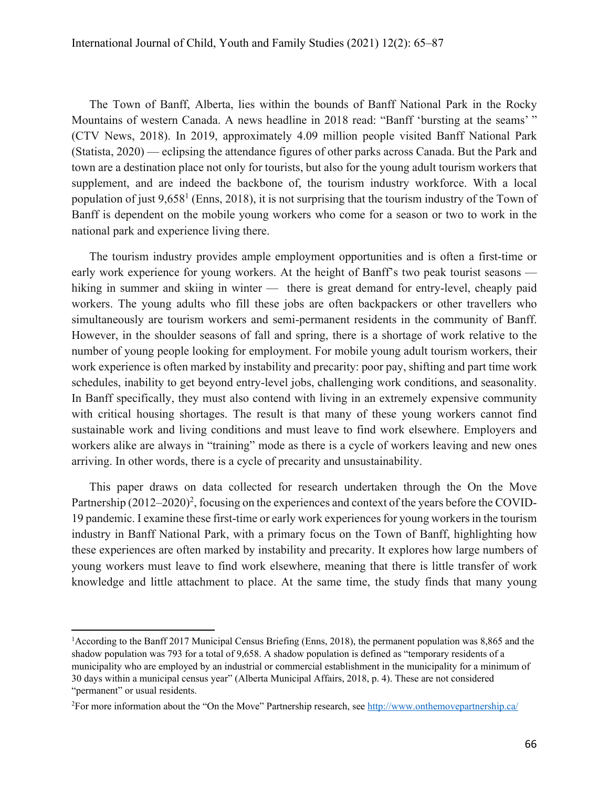The Town of Banff, Alberta, lies within the bounds of Banff National Park in the Rocky Mountains of western Canada. A news headline in 2018 read: "Banff 'bursting at the seams' " (CTV News, 2018). In 2019, approximately 4.09 million people visited Banff National Park (Statista, 2020) — eclipsing the attendance figures of other parks across Canada. But the Park and town are a destination place not only for tourists, but also for the young adult tourism workers that supplement, and are indeed the backbone of, the tourism industry workforce. With a local population of just  $9,658<sup>1</sup>$  (Enns, 2018), it is not surprising that the tourism industry of the Town of Banff is dependent on the mobile young workers who come for a season or two to work in the national park and experience living there.

The tourism industry provides ample employment opportunities and is often a first-time or early work experience for young workers. At the height of Banff's two peak tourist seasons hiking in summer and skiing in winter — there is great demand for entry-level, cheaply paid workers. The young adults who fill these jobs are often backpackers or other travellers who simultaneously are tourism workers and semi-permanent residents in the community of Banff. However, in the shoulder seasons of fall and spring, there is a shortage of work relative to the number of young people looking for employment. For mobile young adult tourism workers, their work experience is often marked by instability and precarity: poor pay, shifting and part time work schedules, inability to get beyond entry-level jobs, challenging work conditions, and seasonality. In Banff specifically, they must also contend with living in an extremely expensive community with critical housing shortages. The result is that many of these young workers cannot find sustainable work and living conditions and must leave to find work elsewhere. Employers and workers alike are always in "training" mode as there is a cycle of workers leaving and new ones arriving. In other words, there is a cycle of precarity and unsustainability.

This paper draws on data collected for research undertaken through the On the Move Partnership  $(2012-2020)^2$ , focusing on the experiences and context of the years before the COVID-19 pandemic. I examine these first-time or early work experiences for young workers in the tourism industry in Banff National Park, with a primary focus on the Town of Banff, highlighting how these experiences are often marked by instability and precarity. It explores how large numbers of young workers must leave to find work elsewhere, meaning that there is little transfer of work knowledge and little attachment to place. At the same time, the study finds that many young

<sup>&</sup>lt;sup>1</sup>According to the Banff 2017 Municipal Census Briefing (Enns, 2018), the permanent population was 8,865 and the shadow population was 793 for a total of 9,658. A shadow population is defined as "temporary residents of a municipality who are employed by an industrial or commercial establishment in the municipality for a minimum of 30 days within a municipal census year" (Alberta Municipal Affairs, 2018, p. 4). These are not considered "permanent" or usual residents.

<sup>&</sup>lt;sup>2</sup> For more information about the "On the Move" Partnership research, see http://www.onthemovepartnership.ca/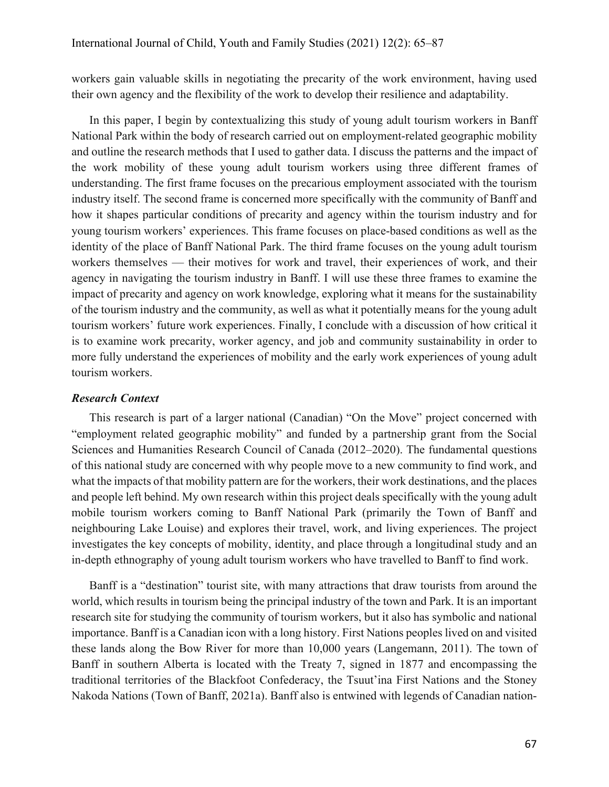workers gain valuable skills in negotiating the precarity of the work environment, having used their own agency and the flexibility of the work to develop their resilience and adaptability.

In this paper, I begin by contextualizing this study of young adult tourism workers in Banff National Park within the body of research carried out on employment-related geographic mobility and outline the research methods that I used to gather data. I discuss the patterns and the impact of the work mobility of these young adult tourism workers using three different frames of understanding. The first frame focuses on the precarious employment associated with the tourism industry itself. The second frame is concerned more specifically with the community of Banff and how it shapes particular conditions of precarity and agency within the tourism industry and for young tourism workers' experiences. This frame focuses on place-based conditions as well as the identity of the place of Banff National Park. The third frame focuses on the young adult tourism workers themselves — their motives for work and travel, their experiences of work, and their agency in navigating the tourism industry in Banff. I will use these three frames to examine the impact of precarity and agency on work knowledge, exploring what it means for the sustainability of the tourism industry and the community, as well as what it potentially means for the young adult tourism workers' future work experiences. Finally, I conclude with a discussion of how critical it is to examine work precarity, worker agency, and job and community sustainability in order to more fully understand the experiences of mobility and the early work experiences of young adult tourism workers.

#### *Research Context*

This research is part of a larger national (Canadian) "On the Move" project concerned with "employment related geographic mobility" and funded by a partnership grant from the Social Sciences and Humanities Research Council of Canada (2012–2020). The fundamental questions of this national study are concerned with why people move to a new community to find work, and what the impacts of that mobility pattern are for the workers, their work destinations, and the places and people left behind. My own research within this project deals specifically with the young adult mobile tourism workers coming to Banff National Park (primarily the Town of Banff and neighbouring Lake Louise) and explores their travel, work, and living experiences. The project investigates the key concepts of mobility, identity, and place through a longitudinal study and an in-depth ethnography of young adult tourism workers who have travelled to Banff to find work.

Banff is a "destination" tourist site, with many attractions that draw tourists from around the world, which results in tourism being the principal industry of the town and Park. It is an important research site for studying the community of tourism workers, but it also has symbolic and national importance. Banff is a Canadian icon with a long history. First Nations peoples lived on and visited these lands along the Bow River for more than 10,000 years (Langemann, 2011). The town of Banff in southern Alberta is located with the Treaty 7, signed in 1877 and encompassing the traditional territories of the Blackfoot Confederacy, the Tsuut'ina First Nations and the Stoney Nakoda Nations (Town of Banff, 2021a). Banff also is entwined with legends of Canadian nation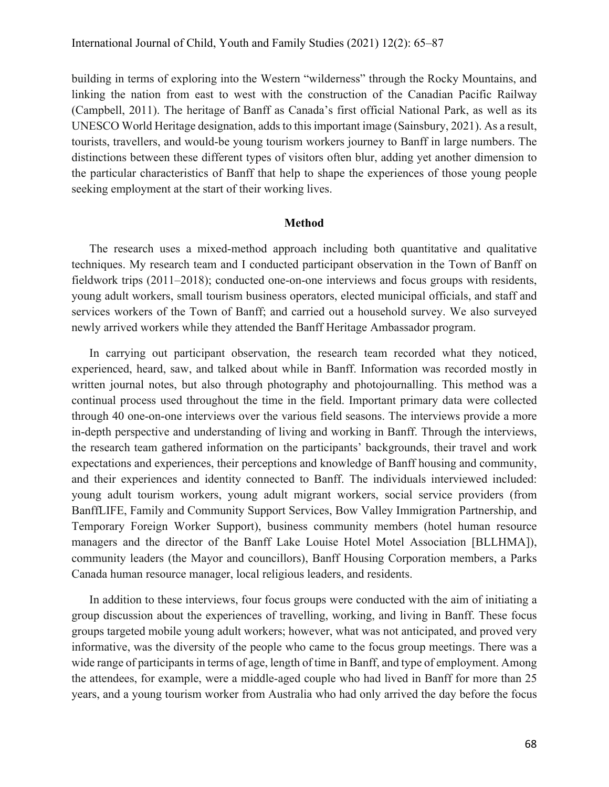building in terms of exploring into the Western "wilderness" through the Rocky Mountains, and linking the nation from east to west with the construction of the Canadian Pacific Railway (Campbell, 2011). The heritage of Banff as Canada's first official National Park, as well as its UNESCO World Heritage designation, adds to this important image (Sainsbury, 2021). As a result, tourists, travellers, and would-be young tourism workers journey to Banff in large numbers. The distinctions between these different types of visitors often blur, adding yet another dimension to the particular characteristics of Banff that help to shape the experiences of those young people seeking employment at the start of their working lives.

#### **Method**

The research uses a mixed-method approach including both quantitative and qualitative techniques. My research team and I conducted participant observation in the Town of Banff on fieldwork trips (2011–2018); conducted one-on-one interviews and focus groups with residents, young adult workers, small tourism business operators, elected municipal officials, and staff and services workers of the Town of Banff; and carried out a household survey. We also surveyed newly arrived workers while they attended the Banff Heritage Ambassador program.

In carrying out participant observation, the research team recorded what they noticed, experienced, heard, saw, and talked about while in Banff. Information was recorded mostly in written journal notes, but also through photography and photojournalling. This method was a continual process used throughout the time in the field. Important primary data were collected through 40 one-on-one interviews over the various field seasons. The interviews provide a more in-depth perspective and understanding of living and working in Banff. Through the interviews, the research team gathered information on the participants' backgrounds, their travel and work expectations and experiences, their perceptions and knowledge of Banff housing and community, and their experiences and identity connected to Banff. The individuals interviewed included: young adult tourism workers, young adult migrant workers, social service providers (from BanffLIFE, Family and Community Support Services, Bow Valley Immigration Partnership, and Temporary Foreign Worker Support), business community members (hotel human resource managers and the director of the Banff Lake Louise Hotel Motel Association [BLLHMA]), community leaders (the Mayor and councillors), Banff Housing Corporation members, a Parks Canada human resource manager, local religious leaders, and residents.

In addition to these interviews, four focus groups were conducted with the aim of initiating a group discussion about the experiences of travelling, working, and living in Banff. These focus groups targeted mobile young adult workers; however, what was not anticipated, and proved very informative, was the diversity of the people who came to the focus group meetings. There was a wide range of participants in terms of age, length of time in Banff, and type of employment. Among the attendees, for example, were a middle-aged couple who had lived in Banff for more than 25 years, and a young tourism worker from Australia who had only arrived the day before the focus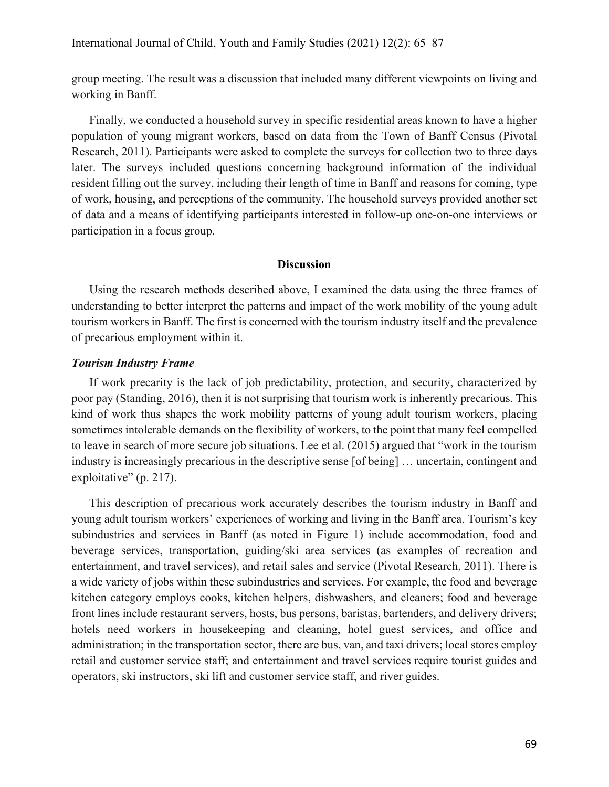group meeting. The result was a discussion that included many different viewpoints on living and working in Banff.

Finally, we conducted a household survey in specific residential areas known to have a higher population of young migrant workers, based on data from the Town of Banff Census (Pivotal Research, 2011). Participants were asked to complete the surveys for collection two to three days later. The surveys included questions concerning background information of the individual resident filling out the survey, including their length of time in Banff and reasons for coming, type of work, housing, and perceptions of the community. The household surveys provided another set of data and a means of identifying participants interested in follow-up one-on-one interviews or participation in a focus group.

### **Discussion**

Using the research methods described above, I examined the data using the three frames of understanding to better interpret the patterns and impact of the work mobility of the young adult tourism workers in Banff. The first is concerned with the tourism industry itself and the prevalence of precarious employment within it.

#### *Tourism Industry Frame*

If work precarity is the lack of job predictability, protection, and security, characterized by poor pay (Standing, 2016), then it is not surprising that tourism work is inherently precarious. This kind of work thus shapes the work mobility patterns of young adult tourism workers, placing sometimes intolerable demands on the flexibility of workers, to the point that many feel compelled to leave in search of more secure job situations. Lee et al. (2015) argued that "work in the tourism industry is increasingly precarious in the descriptive sense [of being] … uncertain, contingent and exploitative" (p. 217).

This description of precarious work accurately describes the tourism industry in Banff and young adult tourism workers' experiences of working and living in the Banff area. Tourism's key subindustries and services in Banff (as noted in Figure 1) include accommodation, food and beverage services, transportation, guiding/ski area services (as examples of recreation and entertainment, and travel services), and retail sales and service (Pivotal Research, 2011). There is a wide variety of jobs within these subindustries and services. For example, the food and beverage kitchen category employs cooks, kitchen helpers, dishwashers, and cleaners; food and beverage front lines include restaurant servers, hosts, bus persons, baristas, bartenders, and delivery drivers; hotels need workers in housekeeping and cleaning, hotel guest services, and office and administration; in the transportation sector, there are bus, van, and taxi drivers; local stores employ retail and customer service staff; and entertainment and travel services require tourist guides and operators, ski instructors, ski lift and customer service staff, and river guides.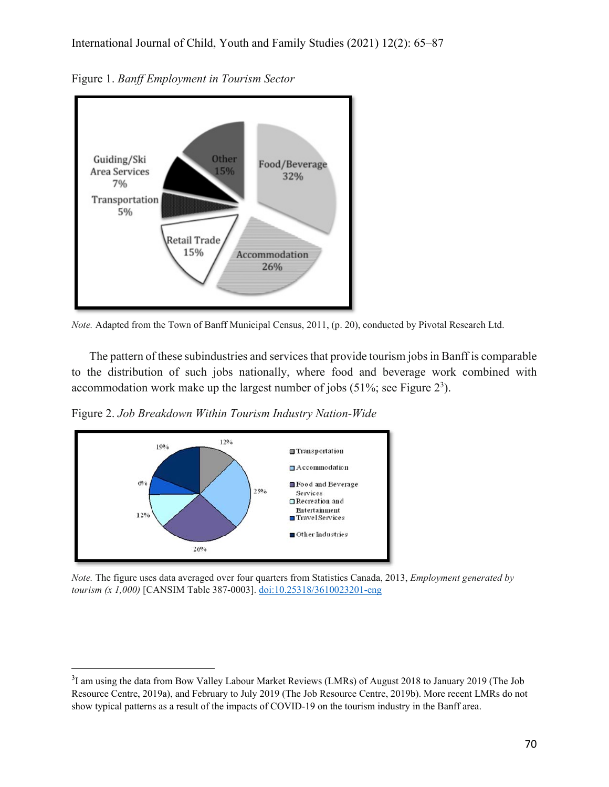

Figure 1. *Banff Employment in Tourism Sector*



The pattern of these subindustries and services that provide tourism jobs in Banff is comparable to the distribution of such jobs nationally, where food and beverage work combined with accommodation work make up the largest number of jobs (51%; see Figure  $2<sup>3</sup>$ ).

Figure 2. *Job Breakdown Within Tourism Industry Nation-Wide*



*Note.* The figure uses data averaged over four quarters from Statistics Canada, 2013, *Employment generated by tourism (x 1,000)* [CANSIM Table 387-0003]. doi:10.25318/3610023201-eng

 $3$ I am using the data from Bow Valley Labour Market Reviews (LMRs) of August 2018 to January 2019 (The Job Resource Centre, 2019a), and February to July 2019 (The Job Resource Centre, 2019b). More recent LMRs do not show typical patterns as a result of the impacts of COVID-19 on the tourism industry in the Banff area.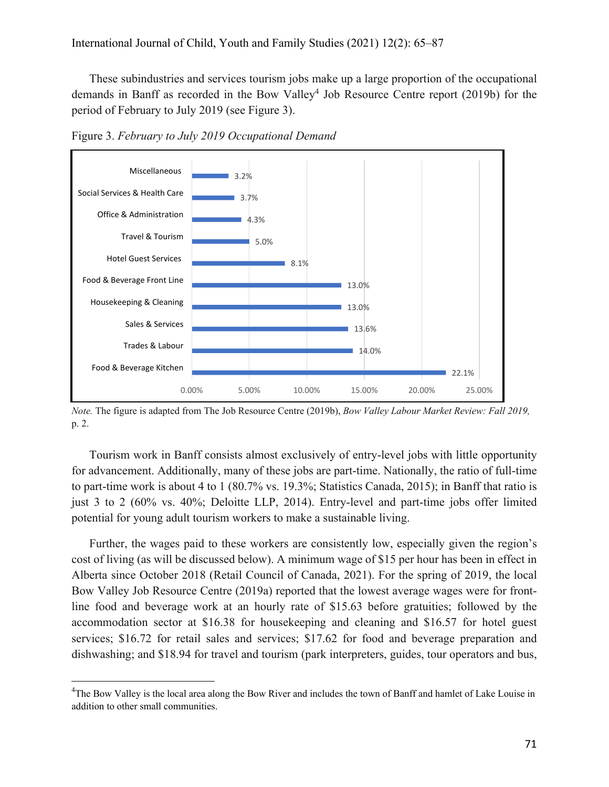These subindustries and services tourism jobs make up a large proportion of the occupational demands in Banff as recorded in the Bow Valley<sup>4</sup> Job Resource Centre report (2019b) for the period of February to July 2019 (see Figure 3).



Figure 3. *February to July 2019 Occupational Demand*

Tourism work in Banff consists almost exclusively of entry-level jobs with little opportunity for advancement. Additionally, many of these jobs are part-time. Nationally, the ratio of full-time to part-time work is about 4 to 1 (80.7% vs. 19.3%; Statistics Canada, 2015); in Banff that ratio is just 3 to 2 (60% vs. 40%; Deloitte LLP, 2014). Entry-level and part-time jobs offer limited potential for young adult tourism workers to make a sustainable living.

Further, the wages paid to these workers are consistently low, especially given the region's cost of living (as will be discussed below). A minimum wage of \$15 per hour has been in effect in Alberta since October 2018 (Retail Council of Canada, 2021). For the spring of 2019, the local Bow Valley Job Resource Centre (2019a) reported that the lowest average wages were for frontline food and beverage work at an hourly rate of \$15.63 before gratuities; followed by the accommodation sector at \$16.38 for housekeeping and cleaning and \$16.57 for hotel guest services; \$16.72 for retail sales and services; \$17.62 for food and beverage preparation and dishwashing; and \$18.94 for travel and tourism (park interpreters, guides, tour operators and bus,

*Note.* The figure is adapted from The Job Resource Centre (2019b), *Bow Valley Labour Market Review: Fall 2019,* p. 2.

<sup>&</sup>lt;sup>4</sup>The Bow Valley is the local area along the Bow River and includes the town of Banff and hamlet of Lake Louise in addition to other small communities.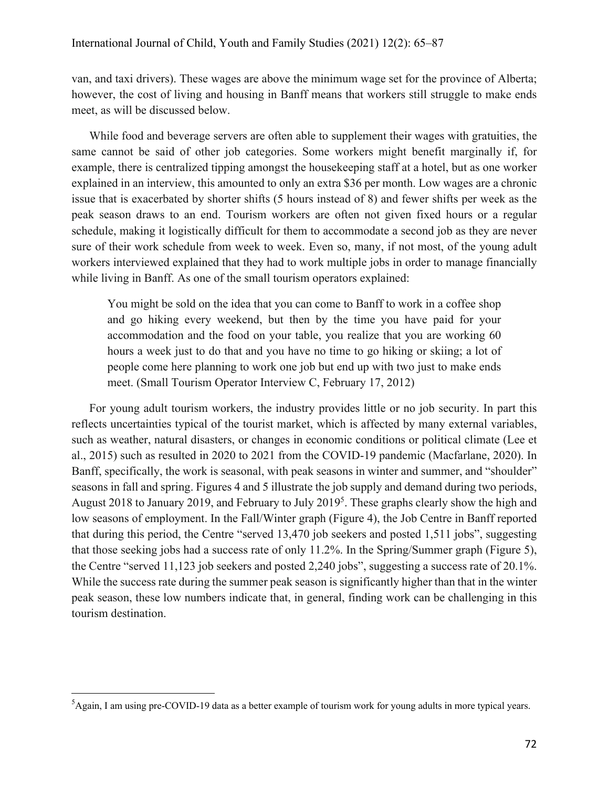van, and taxi drivers). These wages are above the minimum wage set for the province of Alberta; however, the cost of living and housing in Banff means that workers still struggle to make ends meet, as will be discussed below.

While food and beverage servers are often able to supplement their wages with gratuities, the same cannot be said of other job categories. Some workers might benefit marginally if, for example, there is centralized tipping amongst the housekeeping staff at a hotel, but as one worker explained in an interview, this amounted to only an extra \$36 per month. Low wages are a chronic issue that is exacerbated by shorter shifts (5 hours instead of 8) and fewer shifts per week as the peak season draws to an end. Tourism workers are often not given fixed hours or a regular schedule, making it logistically difficult for them to accommodate a second job as they are never sure of their work schedule from week to week. Even so, many, if not most, of the young adult workers interviewed explained that they had to work multiple jobs in order to manage financially while living in Banff. As one of the small tourism operators explained:

You might be sold on the idea that you can come to Banff to work in a coffee shop and go hiking every weekend, but then by the time you have paid for your accommodation and the food on your table, you realize that you are working 60 hours a week just to do that and you have no time to go hiking or skiing; a lot of people come here planning to work one job but end up with two just to make ends meet. (Small Tourism Operator Interview C, February 17, 2012)

For young adult tourism workers, the industry provides little or no job security. In part this reflects uncertainties typical of the tourist market, which is affected by many external variables, such as weather, natural disasters, or changes in economic conditions or political climate (Lee et al., 2015) such as resulted in 2020 to 2021 from the COVID-19 pandemic (Macfarlane, 2020). In Banff, specifically, the work is seasonal, with peak seasons in winter and summer, and "shoulder" seasons in fall and spring. Figures 4 and 5 illustrate the job supply and demand during two periods, August 2018 to January 2019, and February to July 2019<sup>5</sup>. These graphs clearly show the high and low seasons of employment. In the Fall/Winter graph (Figure 4), the Job Centre in Banff reported that during this period, the Centre "served 13,470 job seekers and posted 1,511 jobs", suggesting that those seeking jobs had a success rate of only 11.2%. In the Spring/Summer graph (Figure 5), the Centre "served 11,123 job seekers and posted 2,240 jobs", suggesting a success rate of 20.1%. While the success rate during the summer peak season is significantly higher than that in the winter peak season, these low numbers indicate that, in general, finding work can be challenging in this tourism destination.

 ${}^{5}$ Again, I am using pre-COVID-19 data as a better example of tourism work for young adults in more typical years.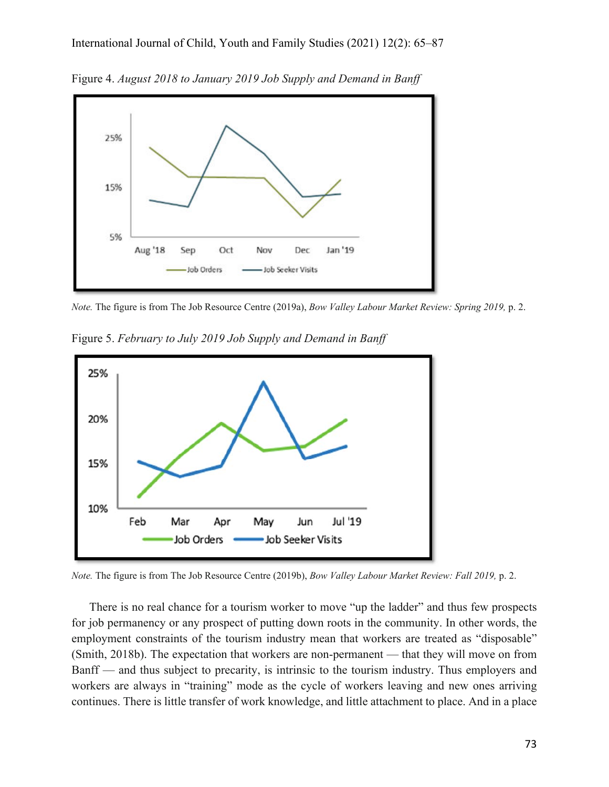

Figure 4. *August 2018 to January 2019 Job Supply and Demand in Banff*

*Note.* The figure is from The Job Resource Centre (2019a), *Bow Valley Labour Market Review: Spring 2019,* p. 2.

Figure 5. *February to July 2019 Job Supply and Demand in Banff* 



*Note.* The figure is from The Job Resource Centre (2019b), *Bow Valley Labour Market Review: Fall 2019,* p. 2.

There is no real chance for a tourism worker to move "up the ladder" and thus few prospects for job permanency or any prospect of putting down roots in the community. In other words, the employment constraints of the tourism industry mean that workers are treated as "disposable" (Smith, 2018b). The expectation that workers are non-permanent — that they will move on from Banff — and thus subject to precarity, is intrinsic to the tourism industry. Thus employers and workers are always in "training" mode as the cycle of workers leaving and new ones arriving continues. There is little transfer of work knowledge, and little attachment to place. And in a place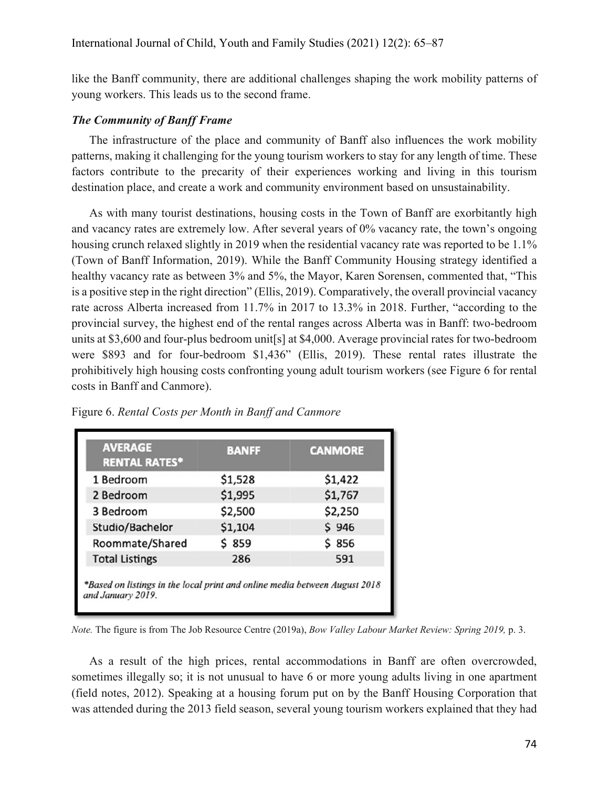like the Banff community, there are additional challenges shaping the work mobility patterns of young workers. This leads us to the second frame.

#### *The Community of Banff Frame*

The infrastructure of the place and community of Banff also influences the work mobility patterns, making it challenging for the young tourism workers to stay for any length of time. These factors contribute to the precarity of their experiences working and living in this tourism destination place, and create a work and community environment based on unsustainability.

As with many tourist destinations, housing costs in the Town of Banff are exorbitantly high and vacancy rates are extremely low. After several years of 0% vacancy rate, the town's ongoing housing crunch relaxed slightly in 2019 when the residential vacancy rate was reported to be 1.1% (Town of Banff Information, 2019). While the Banff Community Housing strategy identified a healthy vacancy rate as between 3% and 5%, the Mayor, Karen Sorensen, commented that, "This is a positive step in the right direction" (Ellis, 2019). Comparatively, the overall provincial vacancy rate across Alberta increased from 11.7% in 2017 to 13.3% in 2018. Further, "according to the provincial survey, the highest end of the rental ranges across Alberta was in Banff: two-bedroom units at \$3,600 and four-plus bedroom unit[s] at \$4,000. Average provincial rates for two-bedroom were \$893 and for four-bedroom \$1,436" (Ellis, 2019). These rental rates illustrate the prohibitively high housing costs confronting young adult tourism workers (see Figure 6 for rental costs in Banff and Canmore).

| <b>AVERAGE</b><br><b>RENTAL RATES*</b> | <b>BANFF</b> | <b>CANMORE</b> |
|----------------------------------------|--------------|----------------|
| 1 Bedroom                              | \$1,528      | \$1,422        |
| 2 Bedroom                              | \$1,995      | \$1,767        |
| 3 Bedroom                              | \$2,500      | \$2,250        |
| Studio/Bachelor                        | \$1,104      | \$946          |
| Roommate/Shared                        | \$859        | \$ 856         |
| <b>Total Listings</b>                  | 286          | 591            |

Figure 6. *Rental Costs per Month in Banff and Canmore*

*Note.* The figure is from The Job Resource Centre (2019a), *Bow Valley Labour Market Review: Spring 2019,* p. 3.

As a result of the high prices, rental accommodations in Banff are often overcrowded, sometimes illegally so; it is not unusual to have 6 or more young adults living in one apartment (field notes, 2012). Speaking at a housing forum put on by the Banff Housing Corporation that was attended during the 2013 field season, several young tourism workers explained that they had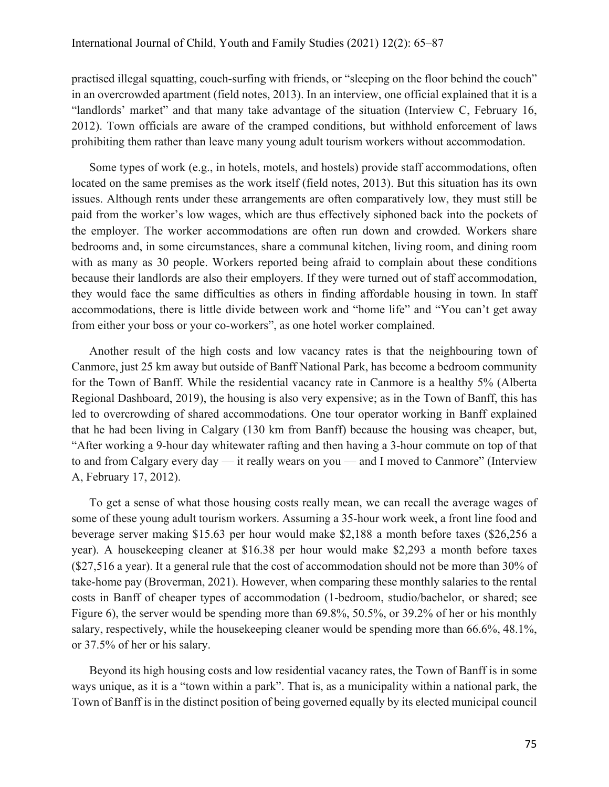practised illegal squatting, couch-surfing with friends, or "sleeping on the floor behind the couch" in an overcrowded apartment (field notes, 2013). In an interview, one official explained that it is a "landlords' market" and that many take advantage of the situation (Interview C, February 16, 2012). Town officials are aware of the cramped conditions, but withhold enforcement of laws prohibiting them rather than leave many young adult tourism workers without accommodation.

Some types of work (e.g., in hotels, motels, and hostels) provide staff accommodations, often located on the same premises as the work itself (field notes, 2013). But this situation has its own issues. Although rents under these arrangements are often comparatively low, they must still be paid from the worker's low wages, which are thus effectively siphoned back into the pockets of the employer. The worker accommodations are often run down and crowded. Workers share bedrooms and, in some circumstances, share a communal kitchen, living room, and dining room with as many as 30 people. Workers reported being afraid to complain about these conditions because their landlords are also their employers. If they were turned out of staff accommodation, they would face the same difficulties as others in finding affordable housing in town. In staff accommodations, there is little divide between work and "home life" and "You can't get away from either your boss or your co-workers", as one hotel worker complained.

Another result of the high costs and low vacancy rates is that the neighbouring town of Canmore, just 25 km away but outside of Banff National Park, has become a bedroom community for the Town of Banff. While the residential vacancy rate in Canmore is a healthy 5% (Alberta Regional Dashboard, 2019), the housing is also very expensive; as in the Town of Banff, this has led to overcrowding of shared accommodations. One tour operator working in Banff explained that he had been living in Calgary (130 km from Banff) because the housing was cheaper, but, "After working a 9-hour day whitewater rafting and then having a 3-hour commute on top of that to and from Calgary every day — it really wears on you — and I moved to Canmore" (Interview A, February 17, 2012).

To get a sense of what those housing costs really mean, we can recall the average wages of some of these young adult tourism workers. Assuming a 35-hour work week, a front line food and beverage server making \$15.63 per hour would make \$2,188 a month before taxes (\$26,256 a year). A housekeeping cleaner at \$16.38 per hour would make \$2,293 a month before taxes (\$27,516 a year). It a general rule that the cost of accommodation should not be more than 30% of take-home pay (Broverman, 2021). However, when comparing these monthly salaries to the rental costs in Banff of cheaper types of accommodation (1-bedroom, studio/bachelor, or shared; see Figure 6), the server would be spending more than 69.8%, 50.5%, or 39.2% of her or his monthly salary, respectively, while the housekeeping cleaner would be spending more than 66.6%, 48.1%, or 37.5% of her or his salary.

Beyond its high housing costs and low residential vacancy rates, the Town of Banff is in some ways unique, as it is a "town within a park". That is, as a municipality within a national park, the Town of Banff is in the distinct position of being governed equally by its elected municipal council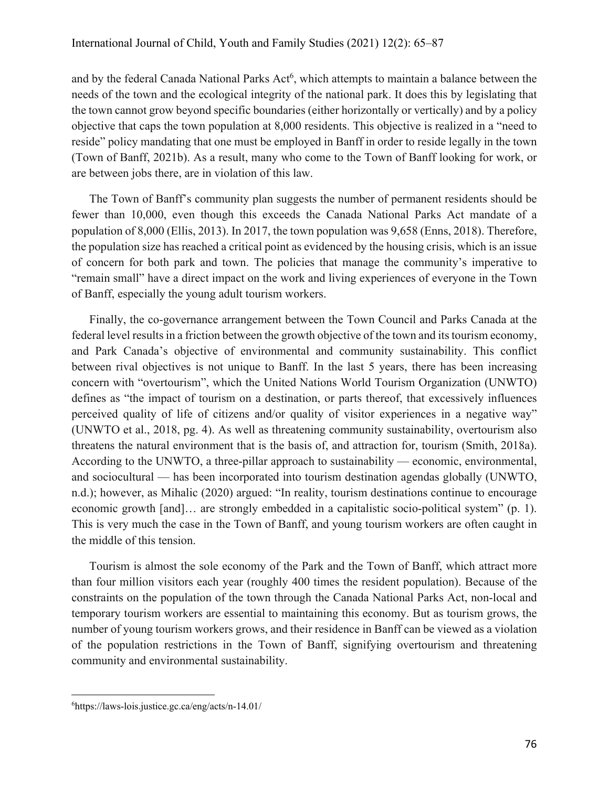and by the federal Canada National Parks Act<sup>6</sup>, which attempts to maintain a balance between the needs of the town and the ecological integrity of the national park. It does this by legislating that the town cannot grow beyond specific boundaries (either horizontally or vertically) and by a policy objective that caps the town population at 8,000 residents. This objective is realized in a "need to reside" policy mandating that one must be employed in Banff in order to reside legally in the town (Town of Banff, 2021b). As a result, many who come to the Town of Banff looking for work, or are between jobs there, are in violation of this law.

The Town of Banff's community plan suggests the number of permanent residents should be fewer than 10,000, even though this exceeds the Canada National Parks Act mandate of a population of 8,000 (Ellis, 2013). In 2017, the town population was 9,658 (Enns, 2018). Therefore, the population size has reached a critical point as evidenced by the housing crisis, which is an issue of concern for both park and town. The policies that manage the community's imperative to "remain small" have a direct impact on the work and living experiences of everyone in the Town of Banff, especially the young adult tourism workers.

Finally, the co-governance arrangement between the Town Council and Parks Canada at the federal level results in a friction between the growth objective of the town and its tourism economy, and Park Canada's objective of environmental and community sustainability. This conflict between rival objectives is not unique to Banff. In the last 5 years, there has been increasing concern with "overtourism", which the United Nations World Tourism Organization (UNWTO) defines as "the impact of tourism on a destination, or parts thereof, that excessively influences perceived quality of life of citizens and/or quality of visitor experiences in a negative way" (UNWTO et al., 2018, pg. 4). As well as threatening community sustainability, overtourism also threatens the natural environment that is the basis of, and attraction for, tourism (Smith, 2018a). According to the UNWTO, a three-pillar approach to sustainability — economic, environmental, and sociocultural — has been incorporated into tourism destination agendas globally (UNWTO, n.d.); however, as Mihalic (2020) argued: "In reality, tourism destinations continue to encourage economic growth [and]… are strongly embedded in a capitalistic socio-political system" (p. 1). This is very much the case in the Town of Banff, and young tourism workers are often caught in the middle of this tension.

Tourism is almost the sole economy of the Park and the Town of Banff, which attract more than four million visitors each year (roughly 400 times the resident population). Because of the constraints on the population of the town through the Canada National Parks Act, non-local and temporary tourism workers are essential to maintaining this economy. But as tourism grows, the number of young tourism workers grows, and their residence in Banff can be viewed as a violation of the population restrictions in the Town of Banff, signifying overtourism and threatening community and environmental sustainability.

<sup>6</sup> https://laws-lois.justice.gc.ca/eng/acts/n-14.01/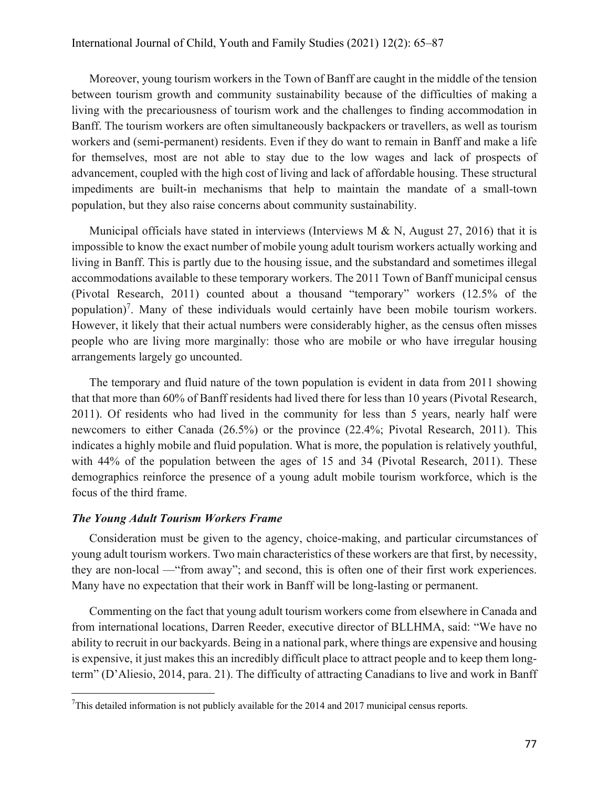Moreover, young tourism workers in the Town of Banff are caught in the middle of the tension between tourism growth and community sustainability because of the difficulties of making a living with the precariousness of tourism work and the challenges to finding accommodation in Banff. The tourism workers are often simultaneously backpackers or travellers, as well as tourism workers and (semi-permanent) residents. Even if they do want to remain in Banff and make a life for themselves, most are not able to stay due to the low wages and lack of prospects of advancement, coupled with the high cost of living and lack of affordable housing. These structural impediments are built-in mechanisms that help to maintain the mandate of a small-town population, but they also raise concerns about community sustainability.

Municipal officials have stated in interviews (Interviews M & N, August 27, 2016) that it is impossible to know the exact number of mobile young adult tourism workers actually working and living in Banff. This is partly due to the housing issue, and the substandard and sometimes illegal accommodations available to these temporary workers. The 2011 Town of Banff municipal census (Pivotal Research, 2011) counted about a thousand "temporary" workers (12.5% of the population)<sup>7</sup>. Many of these individuals would certainly have been mobile tourism workers. However, it likely that their actual numbers were considerably higher, as the census often misses people who are living more marginally: those who are mobile or who have irregular housing arrangements largely go uncounted.

The temporary and fluid nature of the town population is evident in data from 2011 showing that that more than 60% of Banff residents had lived there for less than 10 years (Pivotal Research, 2011). Of residents who had lived in the community for less than 5 years, nearly half were newcomers to either Canada (26.5%) or the province (22.4%; Pivotal Research, 2011). This indicates a highly mobile and fluid population. What is more, the population is relatively youthful, with 44% of the population between the ages of 15 and 34 (Pivotal Research, 2011). These demographics reinforce the presence of a young adult mobile tourism workforce, which is the focus of the third frame.

#### *The Young Adult Tourism Workers Frame*

Consideration must be given to the agency, choice-making, and particular circumstances of young adult tourism workers. Two main characteristics of these workers are that first, by necessity, they are non-local —"from away"; and second, this is often one of their first work experiences. Many have no expectation that their work in Banff will be long-lasting or permanent.

Commenting on the fact that young adult tourism workers come from elsewhere in Canada and from international locations, Darren Reeder, executive director of BLLHMA, said: "We have no ability to recruit in our backyards. Being in a national park, where things are expensive and housing is expensive, it just makes this an incredibly difficult place to attract people and to keep them longterm" (D'Aliesio, 2014, para. 21). The difficulty of attracting Canadians to live and work in Banff

<sup>&</sup>lt;sup>7</sup>This detailed information is not publicly available for the 2014 and 2017 municipal census reports.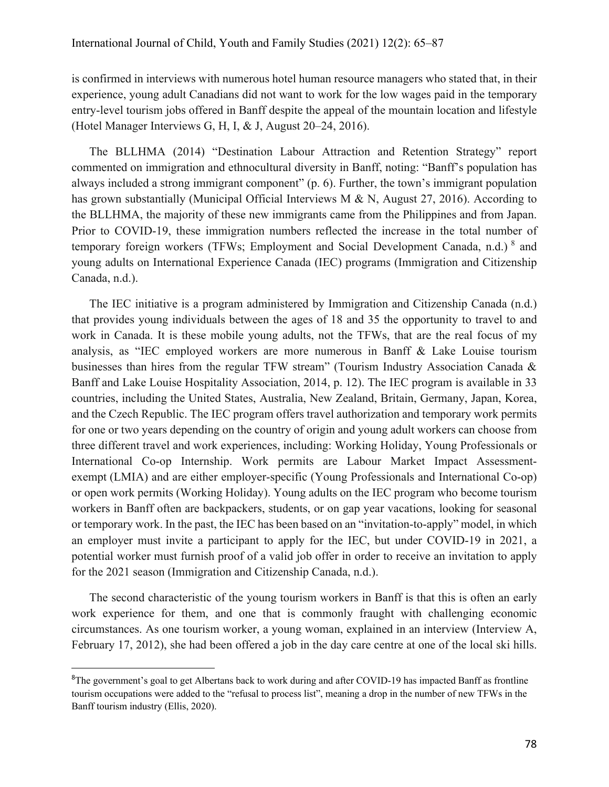is confirmed in interviews with numerous hotel human resource managers who stated that, in their experience, young adult Canadians did not want to work for the low wages paid in the temporary entry-level tourism jobs offered in Banff despite the appeal of the mountain location and lifestyle (Hotel Manager Interviews G, H, I, & J, August 20–24, 2016).

The BLLHMA (2014) "Destination Labour Attraction and Retention Strategy" report commented on immigration and ethnocultural diversity in Banff, noting: "Banff's population has always included a strong immigrant component" (p. 6). Further, the town's immigrant population has grown substantially (Municipal Official Interviews M & N, August 27, 2016). According to the BLLHMA, the majority of these new immigrants came from the Philippines and from Japan. Prior to COVID-19, these immigration numbers reflected the increase in the total number of temporary foreign workers (TFWs; Employment and Social Development Canada, n.d.) 8 and young adults on International Experience Canada (IEC) programs (Immigration and Citizenship Canada, n.d.).

The IEC initiative is a program administered by Immigration and Citizenship Canada (n.d.) that provides young individuals between the ages of 18 and 35 the opportunity to travel to and work in Canada. It is these mobile young adults, not the TFWs, that are the real focus of my analysis, as "IEC employed workers are more numerous in Banff & Lake Louise tourism businesses than hires from the regular TFW stream" (Tourism Industry Association Canada & Banff and Lake Louise Hospitality Association, 2014, p. 12). The IEC program is available in 33 countries, including the United States, Australia, New Zealand, Britain, Germany, Japan, Korea, and the Czech Republic. The IEC program offers travel authorization and temporary work permits for one or two years depending on the country of origin and young adult workers can choose from three different travel and work experiences, including: Working Holiday, Young Professionals or International Co-op Internship. Work permits are Labour Market Impact Assessmentexempt (LMIA) and are either employer-specific (Young Professionals and International Co-op) or open work permits (Working Holiday). Young adults on the IEC program who become tourism workers in Banff often are backpackers, students, or on gap year vacations, looking for seasonal or temporary work. In the past, the IEC has been based on an "invitation-to-apply" model, in which an employer must invite a participant to apply for the IEC, but under COVID-19 in 2021, a potential worker must furnish proof of a valid job offer in order to receive an invitation to apply for the 2021 season (Immigration and Citizenship Canada, n.d.).

The second characteristic of the young tourism workers in Banff is that this is often an early work experience for them, and one that is commonly fraught with challenging economic circumstances. As one tourism worker, a young woman, explained in an interview (Interview A, February 17, 2012), she had been offered a job in the day care centre at one of the local ski hills.

<sup>&</sup>lt;sup>8</sup>The government's goal to get Albertans back to work during and after COVID-19 has impacted Banff as frontline tourism occupations were added to the "refusal to process list", meaning a drop in the number of new TFWs in the Banff tourism industry (Ellis, 2020).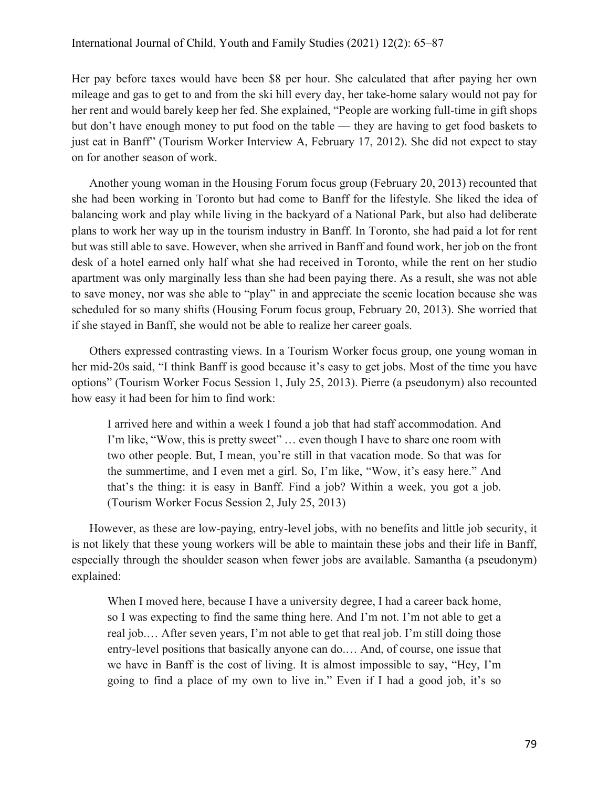Her pay before taxes would have been \$8 per hour. She calculated that after paying her own mileage and gas to get to and from the ski hill every day, her take-home salary would not pay for her rent and would barely keep her fed. She explained, "People are working full-time in gift shops but don't have enough money to put food on the table — they are having to get food baskets to just eat in Banff" (Tourism Worker Interview A, February 17, 2012). She did not expect to stay on for another season of work.

Another young woman in the Housing Forum focus group (February 20, 2013) recounted that she had been working in Toronto but had come to Banff for the lifestyle. She liked the idea of balancing work and play while living in the backyard of a National Park, but also had deliberate plans to work her way up in the tourism industry in Banff. In Toronto, she had paid a lot for rent but was still able to save. However, when she arrived in Banff and found work, her job on the front desk of a hotel earned only half what she had received in Toronto, while the rent on her studio apartment was only marginally less than she had been paying there. As a result, she was not able to save money, nor was she able to "play" in and appreciate the scenic location because she was scheduled for so many shifts (Housing Forum focus group, February 20, 2013). She worried that if she stayed in Banff, she would not be able to realize her career goals.

Others expressed contrasting views. In a Tourism Worker focus group, one young woman in her mid-20s said, "I think Banff is good because it's easy to get jobs. Most of the time you have options" (Tourism Worker Focus Session 1, July 25, 2013). Pierre (a pseudonym) also recounted how easy it had been for him to find work:

I arrived here and within a week I found a job that had staff accommodation. And I'm like, "Wow, this is pretty sweet" … even though I have to share one room with two other people. But, I mean, you're still in that vacation mode. So that was for the summertime, and I even met a girl. So, I'm like, "Wow, it's easy here." And that's the thing: it is easy in Banff. Find a job? Within a week, you got a job. (Tourism Worker Focus Session 2, July 25, 2013)

However, as these are low-paying, entry-level jobs, with no benefits and little job security, it is not likely that these young workers will be able to maintain these jobs and their life in Banff, especially through the shoulder season when fewer jobs are available. Samantha (a pseudonym) explained:

When I moved here, because I have a university degree, I had a career back home, so I was expecting to find the same thing here. And I'm not. I'm not able to get a real job.… After seven years, I'm not able to get that real job. I'm still doing those entry-level positions that basically anyone can do.… And, of course, one issue that we have in Banff is the cost of living. It is almost impossible to say, "Hey, I'm going to find a place of my own to live in." Even if I had a good job, it's so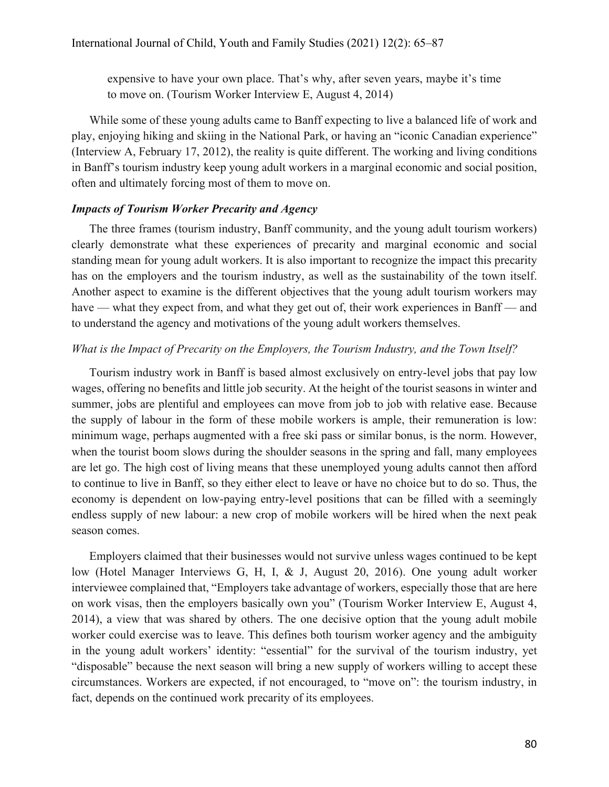expensive to have your own place. That's why, after seven years, maybe it's time to move on. (Tourism Worker Interview E, August 4, 2014)

While some of these young adults came to Banff expecting to live a balanced life of work and play, enjoying hiking and skiing in the National Park, or having an "iconic Canadian experience" (Interview A, February 17, 2012), the reality is quite different. The working and living conditions in Banff's tourism industry keep young adult workers in a marginal economic and social position, often and ultimately forcing most of them to move on.

## *Impacts of Tourism Worker Precarity and Agency*

The three frames (tourism industry, Banff community, and the young adult tourism workers) clearly demonstrate what these experiences of precarity and marginal economic and social standing mean for young adult workers. It is also important to recognize the impact this precarity has on the employers and the tourism industry, as well as the sustainability of the town itself. Another aspect to examine is the different objectives that the young adult tourism workers may have — what they expect from, and what they get out of, their work experiences in Banff — and to understand the agency and motivations of the young adult workers themselves.

#### *What is the Impact of Precarity on the Employers, the Tourism Industry, and the Town Itself?*

Tourism industry work in Banff is based almost exclusively on entry-level jobs that pay low wages, offering no benefits and little job security. At the height of the tourist seasons in winter and summer, jobs are plentiful and employees can move from job to job with relative ease. Because the supply of labour in the form of these mobile workers is ample, their remuneration is low: minimum wage, perhaps augmented with a free ski pass or similar bonus, is the norm. However, when the tourist boom slows during the shoulder seasons in the spring and fall, many employees are let go. The high cost of living means that these unemployed young adults cannot then afford to continue to live in Banff, so they either elect to leave or have no choice but to do so. Thus, the economy is dependent on low-paying entry-level positions that can be filled with a seemingly endless supply of new labour: a new crop of mobile workers will be hired when the next peak season comes.

Employers claimed that their businesses would not survive unless wages continued to be kept low (Hotel Manager Interviews G, H, I, & J, August 20, 2016). One young adult worker interviewee complained that, "Employers take advantage of workers, especially those that are here on work visas, then the employers basically own you" (Tourism Worker Interview E, August 4, 2014), a view that was shared by others. The one decisive option that the young adult mobile worker could exercise was to leave. This defines both tourism worker agency and the ambiguity in the young adult workers' identity: "essential" for the survival of the tourism industry, yet "disposable" because the next season will bring a new supply of workers willing to accept these circumstances. Workers are expected, if not encouraged, to "move on": the tourism industry, in fact, depends on the continued work precarity of its employees.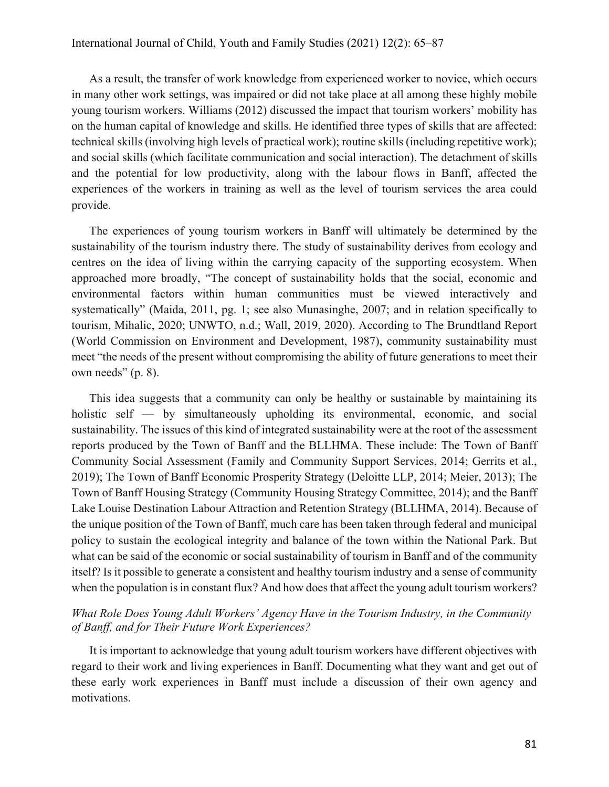As a result, the transfer of work knowledge from experienced worker to novice, which occurs in many other work settings, was impaired or did not take place at all among these highly mobile young tourism workers. Williams (2012) discussed the impact that tourism workers' mobility has on the human capital of knowledge and skills. He identified three types of skills that are affected: technical skills (involving high levels of practical work); routine skills (including repetitive work); and social skills (which facilitate communication and social interaction). The detachment of skills and the potential for low productivity, along with the labour flows in Banff, affected the experiences of the workers in training as well as the level of tourism services the area could provide.

The experiences of young tourism workers in Banff will ultimately be determined by the sustainability of the tourism industry there. The study of sustainability derives from ecology and centres on the idea of living within the carrying capacity of the supporting ecosystem. When approached more broadly, "The concept of sustainability holds that the social, economic and environmental factors within human communities must be viewed interactively and systematically" (Maida, 2011, pg. 1; see also Munasinghe, 2007; and in relation specifically to tourism, Mihalic, 2020; UNWTO, n.d.; Wall, 2019, 2020). According to The Brundtland Report (World Commission on Environment and Development, 1987), community sustainability must meet "the needs of the present without compromising the ability of future generations to meet their own needs" (p. 8).

This idea suggests that a community can only be healthy or sustainable by maintaining its holistic self — by simultaneously upholding its environmental, economic, and social sustainability. The issues of this kind of integrated sustainability were at the root of the assessment reports produced by the Town of Banff and the BLLHMA. These include: The Town of Banff Community Social Assessment (Family and Community Support Services, 2014; Gerrits et al., 2019); The Town of Banff Economic Prosperity Strategy (Deloitte LLP, 2014; Meier, 2013); The Town of Banff Housing Strategy (Community Housing Strategy Committee, 2014); and the Banff Lake Louise Destination Labour Attraction and Retention Strategy (BLLHMA, 2014). Because of the unique position of the Town of Banff, much care has been taken through federal and municipal policy to sustain the ecological integrity and balance of the town within the National Park. But what can be said of the economic or social sustainability of tourism in Banff and of the community itself? Is it possible to generate a consistent and healthy tourism industry and a sense of community when the population is in constant flux? And how does that affect the young adult tourism workers?

## *What Role Does Young Adult Workers' Agency Have in the Tourism Industry, in the Community of Banff, and for Their Future Work Experiences?*

It is important to acknowledge that young adult tourism workers have different objectives with regard to their work and living experiences in Banff. Documenting what they want and get out of these early work experiences in Banff must include a discussion of their own agency and motivations.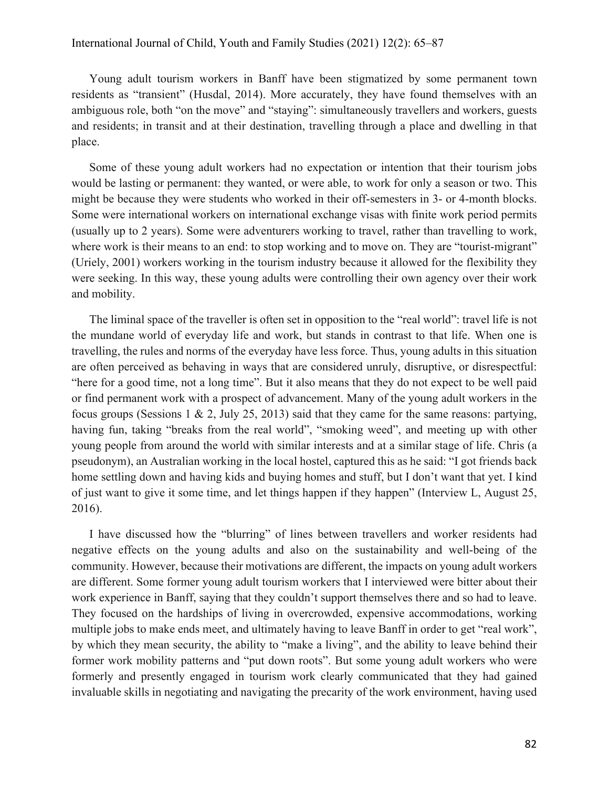Young adult tourism workers in Banff have been stigmatized by some permanent town residents as "transient" (Husdal, 2014). More accurately, they have found themselves with an ambiguous role, both "on the move" and "staying": simultaneously travellers and workers, guests and residents; in transit and at their destination, travelling through a place and dwelling in that place.

Some of these young adult workers had no expectation or intention that their tourism jobs would be lasting or permanent: they wanted, or were able, to work for only a season or two. This might be because they were students who worked in their off-semesters in 3- or 4-month blocks. Some were international workers on international exchange visas with finite work period permits (usually up to 2 years). Some were adventurers working to travel, rather than travelling to work, where work is their means to an end: to stop working and to move on. They are "tourist-migrant" (Uriely, 2001) workers working in the tourism industry because it allowed for the flexibility they were seeking. In this way, these young adults were controlling their own agency over their work and mobility.

The liminal space of the traveller is often set in opposition to the "real world": travel life is not the mundane world of everyday life and work, but stands in contrast to that life. When one is travelling, the rules and norms of the everyday have less force. Thus, young adults in this situation are often perceived as behaving in ways that are considered unruly, disruptive, or disrespectful: "here for a good time, not a long time". But it also means that they do not expect to be well paid or find permanent work with a prospect of advancement. Many of the young adult workers in the focus groups (Sessions 1 & 2, July 25, 2013) said that they came for the same reasons: partying, having fun, taking "breaks from the real world", "smoking weed", and meeting up with other young people from around the world with similar interests and at a similar stage of life. Chris (a pseudonym), an Australian working in the local hostel, captured this as he said: "I got friends back home settling down and having kids and buying homes and stuff, but I don't want that yet. I kind of just want to give it some time, and let things happen if they happen" (Interview L, August 25, 2016).

I have discussed how the "blurring" of lines between travellers and worker residents had negative effects on the young adults and also on the sustainability and well-being of the community. However, because their motivations are different, the impacts on young adult workers are different. Some former young adult tourism workers that I interviewed were bitter about their work experience in Banff, saying that they couldn't support themselves there and so had to leave. They focused on the hardships of living in overcrowded, expensive accommodations, working multiple jobs to make ends meet, and ultimately having to leave Banff in order to get "real work", by which they mean security, the ability to "make a living", and the ability to leave behind their former work mobility patterns and "put down roots". But some young adult workers who were formerly and presently engaged in tourism work clearly communicated that they had gained invaluable skills in negotiating and navigating the precarity of the work environment, having used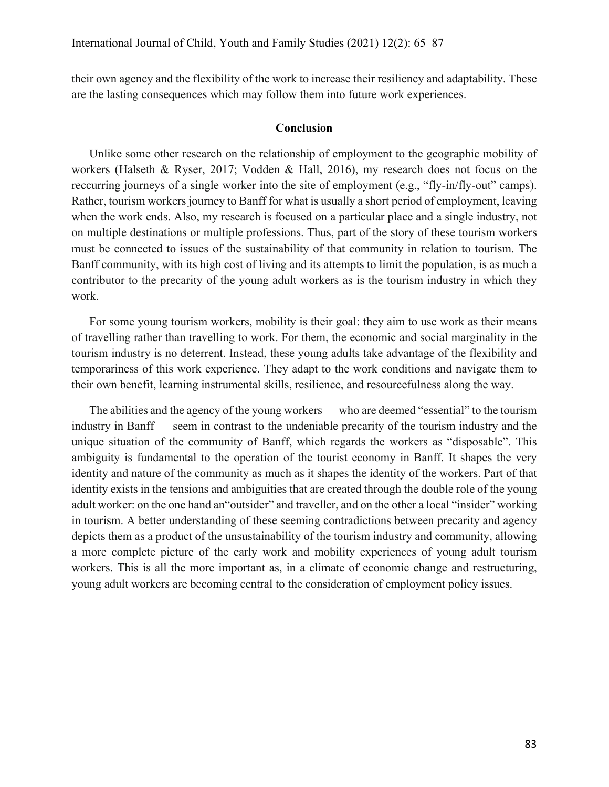their own agency and the flexibility of the work to increase their resiliency and adaptability. These are the lasting consequences which may follow them into future work experiences.

#### **Conclusion**

Unlike some other research on the relationship of employment to the geographic mobility of workers (Halseth & Ryser, 2017; Vodden & Hall, 2016), my research does not focus on the reccurring journeys of a single worker into the site of employment (e.g., "fly-in/fly-out" camps). Rather, tourism workers journey to Banff for what is usually a short period of employment, leaving when the work ends. Also, my research is focused on a particular place and a single industry, not on multiple destinations or multiple professions. Thus, part of the story of these tourism workers must be connected to issues of the sustainability of that community in relation to tourism. The Banff community, with its high cost of living and its attempts to limit the population, is as much a contributor to the precarity of the young adult workers as is the tourism industry in which they work.

For some young tourism workers, mobility is their goal: they aim to use work as their means of travelling rather than travelling to work. For them, the economic and social marginality in the tourism industry is no deterrent. Instead, these young adults take advantage of the flexibility and temporariness of this work experience. They adapt to the work conditions and navigate them to their own benefit, learning instrumental skills, resilience, and resourcefulness along the way.

The abilities and the agency of the young workers — who are deemed "essential" to the tourism industry in Banff — seem in contrast to the undeniable precarity of the tourism industry and the unique situation of the community of Banff, which regards the workers as "disposable". This ambiguity is fundamental to the operation of the tourist economy in Banff. It shapes the very identity and nature of the community as much as it shapes the identity of the workers. Part of that identity exists in the tensions and ambiguities that are created through the double role of the young adult worker: on the one hand an"outsider" and traveller, and on the other a local "insider" working in tourism. A better understanding of these seeming contradictions between precarity and agency depicts them as a product of the unsustainability of the tourism industry and community, allowing a more complete picture of the early work and mobility experiences of young adult tourism workers. This is all the more important as, in a climate of economic change and restructuring, young adult workers are becoming central to the consideration of employment policy issues.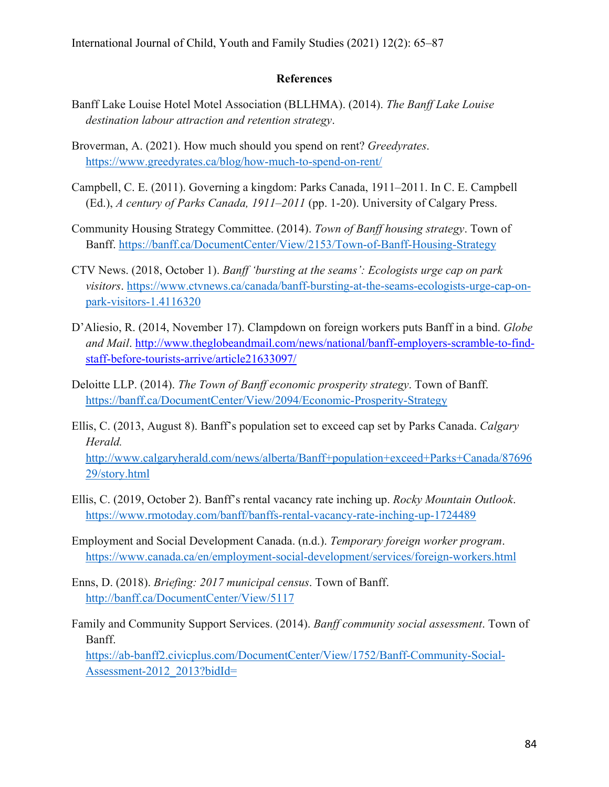### **References**

- Banff Lake Louise Hotel Motel Association (BLLHMA). (2014). *The Banff Lake Louise destination labour attraction and retention strategy*.
- Broverman, A. (2021). How much should you spend on rent? *Greedyrates*. https://www.greedyrates.ca/blog/how-much-to-spend-on-rent/
- Campbell, C. E. (2011). Governing a kingdom: Parks Canada, 1911–2011. In C. E. Campbell (Ed.), *A century of Parks Canada, 1911–2011* (pp. 1-20). University of Calgary Press.
- Community Housing Strategy Committee. (2014). *Town of Banff housing strategy*. Town of Banff. https://banff.ca/DocumentCenter/View/2153/Town-of-Banff-Housing-Strategy
- CTV News. (2018, October 1). *Banff 'bursting at the seams': Ecologists urge cap on park visitors*. https://www.ctvnews.ca/canada/banff-bursting-at-the-seams-ecologists-urge-cap-onpark-visitors-1.4116320
- D'Aliesio, R. (2014, November 17). Clampdown on foreign workers puts Banff in a bind. *Globe and Mail*. http://www.theglobeandmail.com/news/national/banff-employers-scramble-to-findstaff-before-tourists-arrive/article21633097/
- Deloitte LLP. (2014). *The Town of Banff economic prosperity strategy*. Town of Banff. https://banff.ca/DocumentCenter/View/2094/Economic-Prosperity-Strategy
- Ellis, C. (2013, August 8). Banff's population set to exceed cap set by Parks Canada. *Calgary Herald.*

http://www.calgaryherald.com/news/alberta/Banff+population+exceed+Parks+Canada/87696 29/story.html

- Ellis, C. (2019, October 2). Banff's rental vacancy rate inching up. *Rocky Mountain Outlook*. https://www.rmotoday.com/banff/banffs-rental-vacancy-rate-inching-up-1724489
- Employment and Social Development Canada. (n.d.). *Temporary foreign worker program*. https://www.canada.ca/en/employment-social-development/services/foreign-workers.html
- Enns, D. (2018). *Briefing: 2017 municipal census*. Town of Banff. http://banff.ca/DocumentCenter/View/5117
- Family and Community Support Services. (2014). *Banff community social assessment*. Town of Banff. https://ab-banff2.civicplus.com/DocumentCenter/View/1752/Banff-Community-Social-Assessment-2012\_2013?bidId=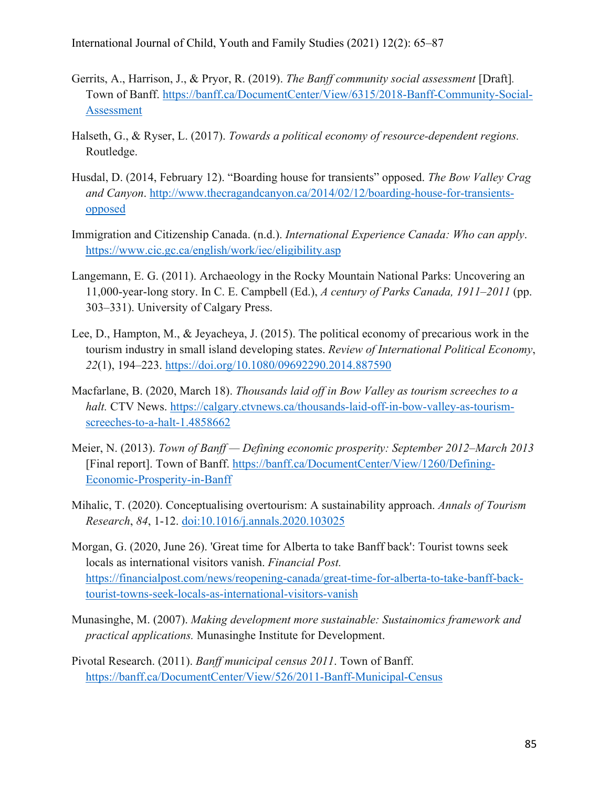International Journal of Child, Youth and Family Studies (2021) 12(2): 65–87

- Gerrits, A., Harrison, J., & Pryor, R. (2019). *The Banff community social assessment* [Draft]*.* Town of Banff. https://banff.ca/DocumentCenter/View/6315/2018-Banff-Community-Social-Assessment
- Halseth, G., & Ryser, L. (2017). *Towards a political economy of resource-dependent regions.*  Routledge.
- Husdal, D. (2014, February 12). "Boarding house for transients" opposed. *The Bow Valley Crag and Canyon*. http://www.thecragandcanyon.ca/2014/02/12/boarding-house-for-transientsopposed
- Immigration and Citizenship Canada. (n.d.). *International Experience Canada: Who can apply*. https://www.cic.gc.ca/english/work/iec/eligibility.asp
- Langemann, E. G. (2011). Archaeology in the Rocky Mountain National Parks: Uncovering an 11,000-year-long story. In C. E. Campbell (Ed.), *A century of Parks Canada, 1911–2011* (pp. 303–331). University of Calgary Press.
- Lee, D., Hampton, M., & Jeyacheya, J. (2015). The political economy of precarious work in the tourism industry in small island developing states. *Review of International Political Economy*, *22*(1), 194–223. https://doi.org/10.1080/09692290.2014.887590
- Macfarlane, B. (2020, March 18). *Thousands laid off in Bow Valley as tourism screeches to a halt.* CTV News. https://calgary.ctvnews.ca/thousands-laid-off-in-bow-valley-as-tourismscreeches-to-a-halt-1.4858662
- Meier, N. (2013). *Town of Banff Defining economic prosperity: September 2012–March 2013* [Final report]. Town of Banff. https://banff.ca/DocumentCenter/View/1260/Defining-Economic-Prosperity-in-Banff
- Mihalic, T. (2020). Conceptualising overtourism: A sustainability approach. *Annals of Tourism Research*, *84*, 1-12. doi:10.1016/j.annals.2020.103025
- Morgan, G. (2020, June 26). 'Great time for Alberta to take Banff back': Tourist towns seek locals as international visitors vanish. *Financial Post.*  https://financialpost.com/news/reopening-canada/great-time-for-alberta-to-take-banff-backtourist-towns-seek-locals-as-international-visitors-vanish
- Munasinghe, M. (2007). *Making development more sustainable: Sustainomics framework and practical applications.* Munasinghe Institute for Development.
- Pivotal Research. (2011). *Banff municipal census 2011*. Town of Banff. https://banff.ca/DocumentCenter/View/526/2011-Banff-Municipal-Census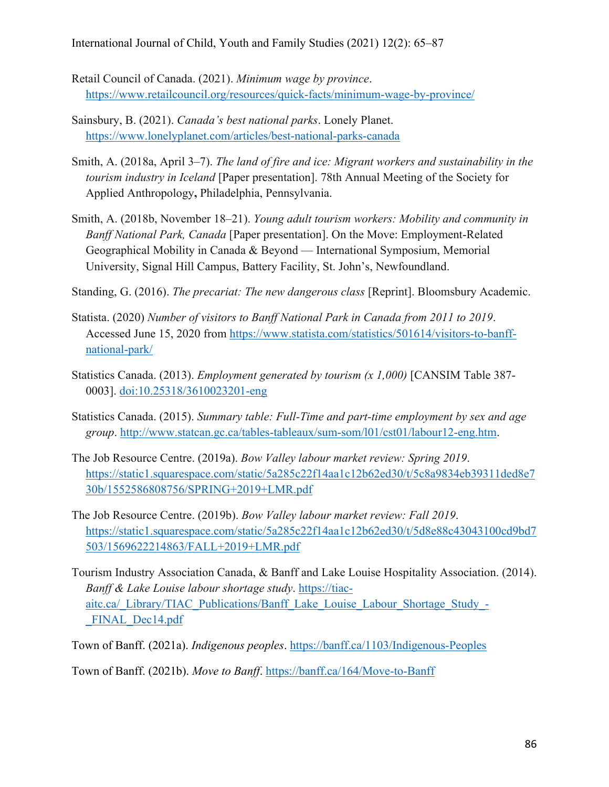- Retail Council of Canada. (2021). *Minimum wage by province*. https://www.retailcouncil.org/resources/quick-facts/minimum-wage-by-province/
- Sainsbury, B. (2021). *Canada's best national parks*. Lonely Planet. https://www.lonelyplanet.com/articles/best-national-parks-canada
- Smith, A. (2018a, April 3–7). *The land of fire and ice: Migrant workers and sustainability in the tourism industry in Iceland* [Paper presentation]. 78th Annual Meeting of the Society for Applied Anthropology**,** Philadelphia, Pennsylvania.
- Smith, A. (2018b, November 18–21). *Young adult tourism workers: Mobility and community in Banff National Park, Canada* [Paper presentation]. On the Move: Employment-Related Geographical Mobility in Canada & Beyond — International Symposium, Memorial University, Signal Hill Campus, Battery Facility, St. John's, Newfoundland.
- Standing, G. (2016). *The precariat: The new dangerous class* [Reprint]. Bloomsbury Academic.
- Statista. (2020) *Number of visitors to Banff National Park in Canada from 2011 to 2019*. Accessed June 15, 2020 from https://www.statista.com/statistics/501614/visitors-to-banffnational-park/
- Statistics Canada. (2013). *Employment generated by tourism (x 1,000)* [CANSIM Table 387- 0003]. doi:10.25318/3610023201-eng
- Statistics Canada. (2015). *Summary table: Full-Time and part-time employment by sex and age group*. http://www.statcan.gc.ca/tables-tableaux/sum-som/l01/cst01/labour12-eng.htm.
- The Job Resource Centre. (2019a). *Bow Valley labour market review: Spring 2019*. https://static1.squarespace.com/static/5a285c22f14aa1c12b62ed30/t/5c8a9834eb39311ded8e7 30b/1552586808756/SPRING+2019+LMR.pdf
- The Job Resource Centre. (2019b). *Bow Valley labour market review: Fall 2019*. https://static1.squarespace.com/static/5a285c22f14aa1c12b62ed30/t/5d8e88c43043100cd9bd7 503/1569622214863/FALL+2019+LMR.pdf
- Tourism Industry Association Canada, & Banff and Lake Louise Hospitality Association. (2014). *Banff & Lake Louise labour shortage study*. https://tiacaitc.ca/\_Library/TIAC\_Publications/Banff\_Lake\_Louise\_Labour\_Shortage\_Study\_- FINAL Dec14.pdf

Town of Banff. (2021a). *Indigenous peoples*. https://banff.ca/1103/Indigenous-Peoples

Town of Banff. (2021b). *Move to Banff*. https://banff.ca/164/Move-to-Banff